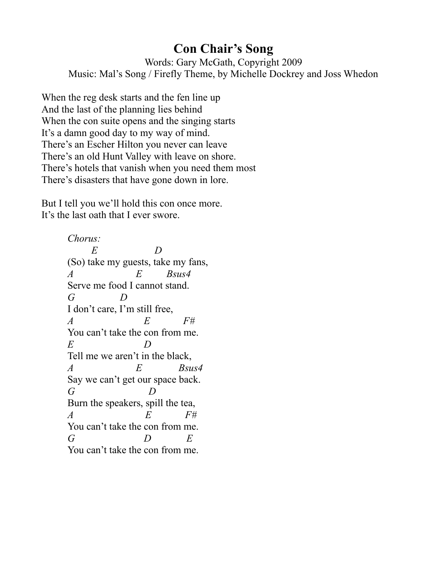## **Con Chair's Song**

Words: Gary McGath, Copyright 2009 Music: Mal's Song / Firefly Theme, by Michelle Dockrey and Joss Whedon

When the reg desk starts and the fen line up And the last of the planning lies behind When the con suite opens and the singing starts It's a damn good day to my way of mind. There's an Escher Hilton you never can leave There's an old Hunt Valley with leave on shore. There's hotels that vanish when you need them most There's disasters that have gone down in lore.

But I tell you we'll hold this con once more. It's the last oath that I ever swore.

> *Chorus: E D* (So) take my guests, take my fans, *A E Bsus4* Serve me food I cannot stand. *G D* I don't care, I'm still free, *A E F#* You can't take the con from me. *E D* Tell me we aren't in the black, *A E Bsus4* Say we can't get our space back. *G D* Burn the speakers, spill the tea, *A E F#* You can't take the con from me. *G D E* You can't take the con from me.